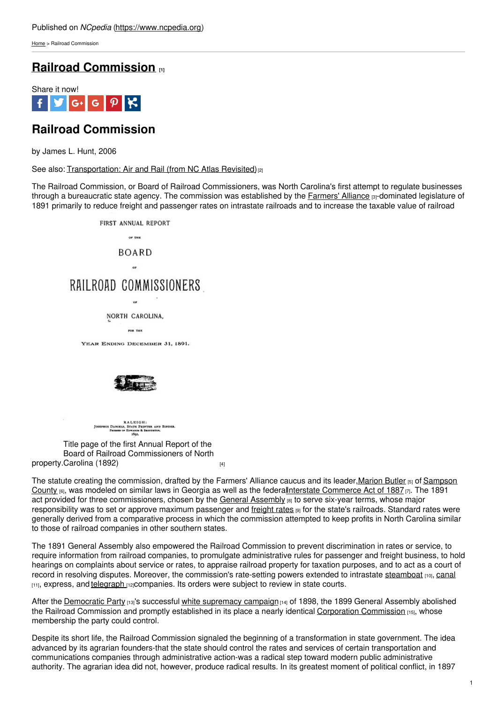[Home](https://www.ncpedia.org/) > Railroad Commission

## **Railroad [Commission](https://www.ncpedia.org/railroad-commission) [1]**



# **Railroad Commission**

by James L. Hunt, 2006

See also: [Transportation:](https://www.ncpedia.org/transportation-air-and-rail-nc) Air and Rail (from NC Atlas Revisited)<sup>[2]</sup>

The Railroad Commission, or Board of Railroad Commissioners, was North Carolina's first attempt to regulate businesses through a bureaucratic state agency. The commission was established by the **[Farmers'](https://www.ncpedia.org/farmers-alliance) Alliance [3]-dominated legislature of** 1891 primarily to reduce freight and passenger rates on intrastate railroads and to increase the taxable value of railroad



A L K I G H :<br>Statk Printer and Binder<br>Idwards & Droconton. **US DANIELS,<br>Parases or** 

property.[Carolina](https://archive.org/details/annualreportboa23commgoog) (1892) **compared to the Contract Contract Contract Contract Contract Contract Contract Control** Title page of the first Annual Report of the Board of Railroad Commissioners of North

The statute creating the commission, drafted by the Farmers' Alliance caucus and its leader[,Marion](https://www.ncpedia.org/biography/butler-marion) Butler [5] of Sampson County [6], was modeled on similar laws in Georgia as well as the [federalInterstate](https://www.ncpedia.org/geography/sampson) [Commerce](http://www.ourdocuments.gov/doc.php?flash=true&doc=49) Act of 1887 [7]. The 1891 act provided for three commissioners, chosen by the General [Assembly](https://www.ncpedia.org/general-assembly) [8] to serve six-year terms, whose major responsibility was to set or approve maximum passenger and [freight](https://www.ncpedia.org/freight-rates) rates  $_{[9]}$  for the state's railroads. Standard rates were generally derived from a comparative process in which the commission attempted to keep profits in North Carolina similar to those of railroad companies in other southern states.

The 1891 General Assembly also empowered the Railroad Commission to prevent discrimination in rates or service, to require information from railroad companies, to promulgate administrative rules for passenger and freight business, to hold hearings on complaints about service or rates, to appraise railroad property for taxation purposes, and to act as a court of record in resolving disputes. Moreover, the commission's rate-setting powers extended to intrastate [steamboat](https://www.ncpedia.org/steamboats) [10], [canal](https://www.ncpedia.org/canals) [11], express, and [telegraph](https://www.ncpedia.org/telegraph) [12]companies. Its orders were subject to review in state courts.

After the [Democratic](https://www.ncpedia.org/democratic-party) Party [13]'s successful white [supremacy](https://www.ncpedia.org/disfranchisement) campaign [14] of 1898, the 1899 General Assembly abolished the Railroad [Commission](https://www.ncpedia.org/corporation-commission) and promptly established in its place a nearly identical Corporation Commission [15], whose membership the party could control.

Despite its short life, the Railroad Commission signaled the beginning of a transformation in state government. The idea advanced by its agrarian founders-that the state should control the rates and services of certain transportation and communications companies through administrative action-was a radical step toward modern public administrative authority. The agrarian idea did not, however, produce radical results. In its greatest moment of political conflict, in 1897